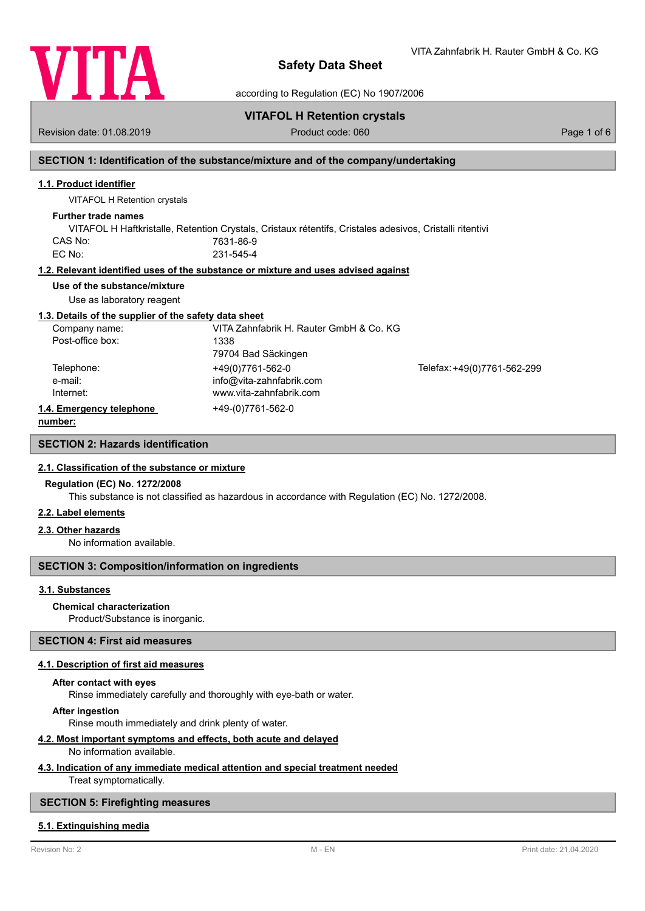

VITA Zahnfabrik H. Rauter GmbH & Co. KG

according to Regulation (EC) No 1907/2006

# **VITAFOL H Retention crystals**

Revision date: 01.08.2019 **Product code: 060** Product code: 060 **Page 1 of 6** Page 1 of 6

# **SECTION 1: Identification of the substance/mixture and of the company/undertaking**

### **1.1. Product identifier**

VITAFOL H Retention crystals

### **Further trade names**

VITAFOL H Haftkristalle, Retention Crystals, Cristaux rétentifs, Cristales adesivos, Cristalli ritentivi CAS No: 7631-86-9 EC No: 231-545-4

### **1.2. Relevant identified uses of the substance or mixture and uses advised against**

## **Use of the substance/mixture**

Use as laboratory reagent

### **1.3. Details of the supplier of the safety data sheet**

| Company name:            | VITA Zahnfabrik H. Rauter GmbH & Co. KG |                             |
|--------------------------|-----------------------------------------|-----------------------------|
| Post-office box:         | 1338                                    |                             |
|                          | 79704 Bad Säckingen                     |                             |
| Telephone:               | +49(0)7761-562-0                        | Telefax: +49(0)7761-562-299 |
| e-mail:                  | info@vita-zahnfabrik.com                |                             |
| Internet:                | www.vita-zahnfabrik.com                 |                             |
| 1.4. Emergency telephone | +49-(0)7761-562-0                       |                             |
| numhar:                  |                                         |                             |

**number:**

**SECTION 2: Hazards identification**

### **2.1. Classification of the substance or mixture**

### **Regulation (EC) No. 1272/2008**

This substance is not classified as hazardous in accordance with Regulation (EC) No. 1272/2008.

### **2.2. Label elements**

### **2.3. Other hazards**

No information available.

# **SECTION 3: Composition/information on ingredients**

### **3.1. Substances**

Product/Substance is inorganic. **Chemical characterization**

### **SECTION 4: First aid measures**

### **4.1. Description of first aid measures**

### **After contact with eyes**

Rinse immediately carefully and thoroughly with eye-bath or water.

### **After ingestion**

Rinse mouth immediately and drink plenty of water.

### **4.2. Most important symptoms and effects, both acute and delayed**

No information available.

# **4.3. Indication of any immediate medical attention and special treatment needed**

Treat symptomatically.

# **SECTION 5: Firefighting measures**

### **5.1. Extinguishing media**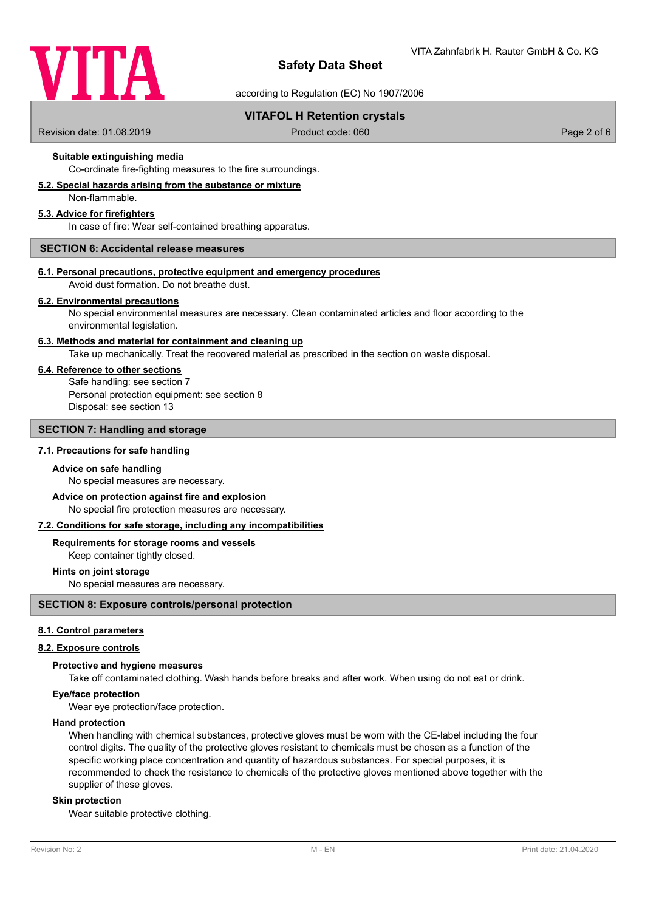

according to Regulation (EC) No 1907/2006

# **VITAFOL H Retention crystals**

Revision date: 01.08.2019 **Product code: 060** Product code: 060 **Page 2 of 6** Page 2 of 6

# **Suitable extinguishing media**

Co-ordinate fire-fighting measures to the fire surroundings.

# **5.2. Special hazards arising from the substance or mixture**

Non-flammable.

# **5.3. Advice for firefighters**

In case of fire: Wear self-contained breathing apparatus.

## **SECTION 6: Accidental release measures**

### **6.1. Personal precautions, protective equipment and emergency procedures**

Avoid dust formation. Do not breathe dust.

### **6.2. Environmental precautions**

No special environmental measures are necessary. Clean contaminated articles and floor according to the environmental legislation.

### **6.3. Methods and material for containment and cleaning up**

Take up mechanically. Treat the recovered material as prescribed in the section on waste disposal.

## **6.4. Reference to other sections**

Safe handling: see section 7 Personal protection equipment: see section 8 Disposal: see section 13

## **SECTION 7: Handling and storage**

### **7.1. Precautions for safe handling**

#### **Advice on safe handling**

No special measures are necessary.

### No special fire protection measures are necessary. **Advice on protection against fire and explosion**

### **7.2. Conditions for safe storage, including any incompatibilities**

### **Requirements for storage rooms and vessels**

Keep container tightly closed.

### **Hints on joint storage**

No special measures are necessary.

#### **SECTION 8: Exposure controls/personal protection**

### **8.1. Control parameters**

# **8.2. Exposure controls**

### **Protective and hygiene measures**

Take off contaminated clothing. Wash hands before breaks and after work. When using do not eat or drink.

# **Eye/face protection**

Wear eye protection/face protection.

### **Hand protection**

When handling with chemical substances, protective gloves must be worn with the CE-label including the four control digits. The quality of the protective gloves resistant to chemicals must be chosen as a function of the specific working place concentration and quantity of hazardous substances. For special purposes, it is recommended to check the resistance to chemicals of the protective gloves mentioned above together with the supplier of these gloves.

### **Skin protection**

Wear suitable protective clothing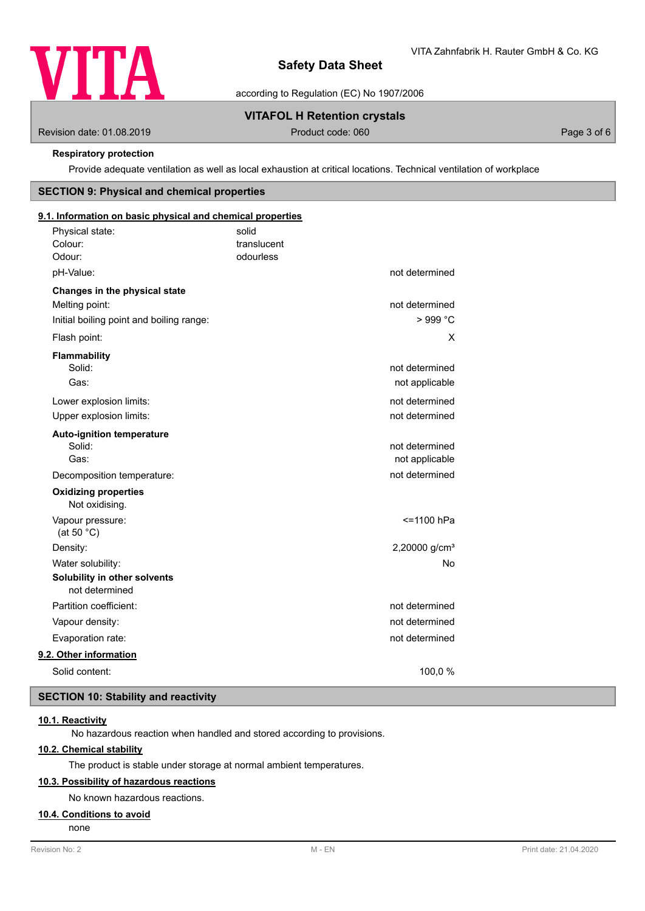

according to Regulation (EC) No 1907/2006

# **VITAFOL H Retention crystals**

Revision date: 01.08.2019 **Product code: 060** Product code: 060 **Page 3 of 6** Page 3 of 6

### **Respiratory protection**

Provide adequate ventilation as well as local exhaustion at critical locations. Technical ventilation of workplace

### **SECTION 9: Physical and chemical properties**

# translucent Physical state: solid Colour: **9.1. Information on basic physical and chemical properties** Odour: odourless pH-Value: not determined **Changes in the physical state** Melting point: not determined Initial boiling point and boiling range:  $> 999 °C$ Flash point: X **Flammability** Solid: **not determined** and the solid: **not determined** and the solid: **not determined** and the solid: **not determined** and the solid: **not determined** and the solid: **not determined** and the solid: **not determined** and th Gas: contract the contract of the contract of the contract of the contract of the contract of the contract of the contract of the contract of the contract of the contract of the contract of the contract of the contract of Lower explosion limits:  $\qquad \qquad \qquad$  not determined Upper explosion limits:  $\blacksquare$ **Auto-ignition temperature** Solid: **not determined** and the solid: **not determined** and the solid: **not determined** and the solid: **not determined** and the solid: **not determined** and the solid: **not determined** and the solid: **note** that the solid: Gas: Gas: not applicable contract to the contract of the contract of the contract of the contract of the contract of the contract of the contract of the contract of the contract of the contract of the contract of the contr Decomposition temperature: not determined Not oxidising. **Oxidizing properties** Vapour pressure:  $\le$  1100 hPa (at 50 °C) Density: 2,20000 g/cm<sup>3</sup> Water solubility: No water solubility: No water solubility: No water solubility: No water solubility: No water  $\sim$  No water solubility: **Solubility in other solvents** not determined Partition coefficient: not determined Vapour density: not determined Evaporation rate: not determined **9.2. Other information** Solid content: 100,0 %

# **SECTION 10: Stability and reactivity**

# **10.1. Reactivity**

No hazardous reaction when handled and stored according to provisions.

# **10.2. Chemical stability**

The product is stable under storage at normal ambient temperatures.

# **10.3. Possibility of hazardous reactions**

No known hazardous reactions.

# **10.4. Conditions to avoid**

none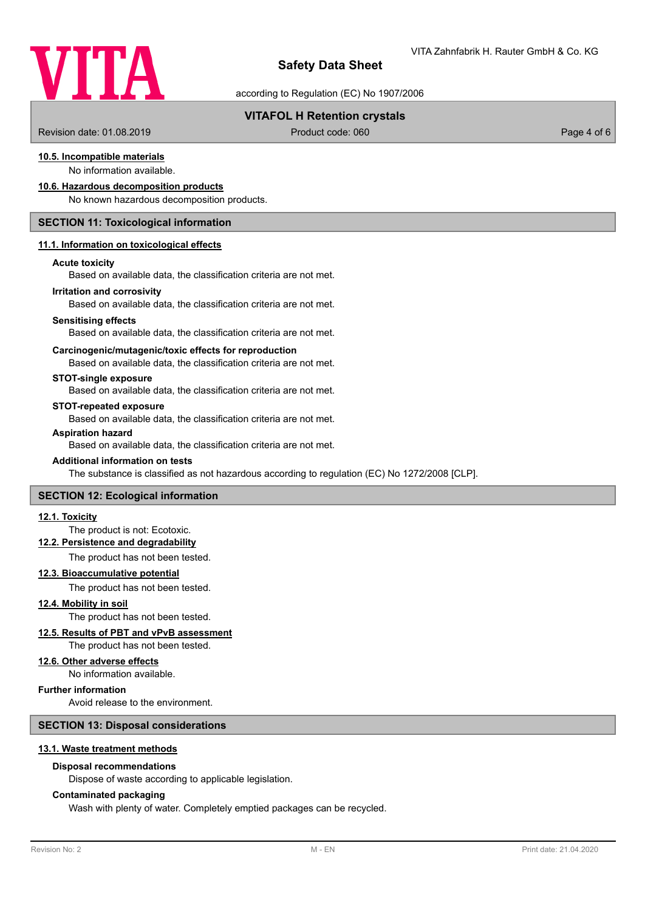

according to Regulation (EC) No 1907/2006

# **VITAFOL H Retention crystals**

Revision date: 01.08.2019 **Product code: 060** Product code: 060 **Page 4 of 6** Page 4 of 6

# **10.5. Incompatible materials**

No information available.

### **10.6. Hazardous decomposition products**

No known hazardous decomposition products.

### **SECTION 11: Toxicological information**

### **11.1. Information on toxicological effects**

#### **Acute toxicity**

Based on available data, the classification criteria are not met.

#### **Irritation and corrosivity**

Based on available data, the classification criteria are not met.

#### **Sensitising effects**

Based on available data, the classification criteria are not met.

### **Carcinogenic/mutagenic/toxic effects for reproduction**

Based on available data, the classification criteria are not met.

## **STOT-single exposure**

Based on available data, the classification criteria are not met.

### **STOT-repeated exposure**

Based on available data, the classification criteria are not met.

### **Aspiration hazard**

Based on available data, the classification criteria are not met.

#### **Additional information on tests**

## **SECTION 12: Ecological information**

### **12.1. Toxicity**

# The product is not: Ecotoxic.

# **12.2. Persistence and degradability**

The product has not been tested.

### **12.3. Bioaccumulative potential**

The product has not been tested.

**12.4. Mobility in soil**

# The product has not been tested.

# **12.5. Results of PBT and vPvB assessment**

The product has not been tested.

# **12.6. Other adverse effects**

No information available.

### **Further information**

Avoid release to the environment.

### **SECTION 13: Disposal considerations**

#### **13.1. Waste treatment methods**

### **Disposal recommendations**

Dispose of waste according to applicable legislation.

### **Contaminated packaging**

Wash with plenty of water. Completely emptied packages can be recycled.

The substance is classified as not hazardous according to regulation (EC) No 1272/2008 [CLP].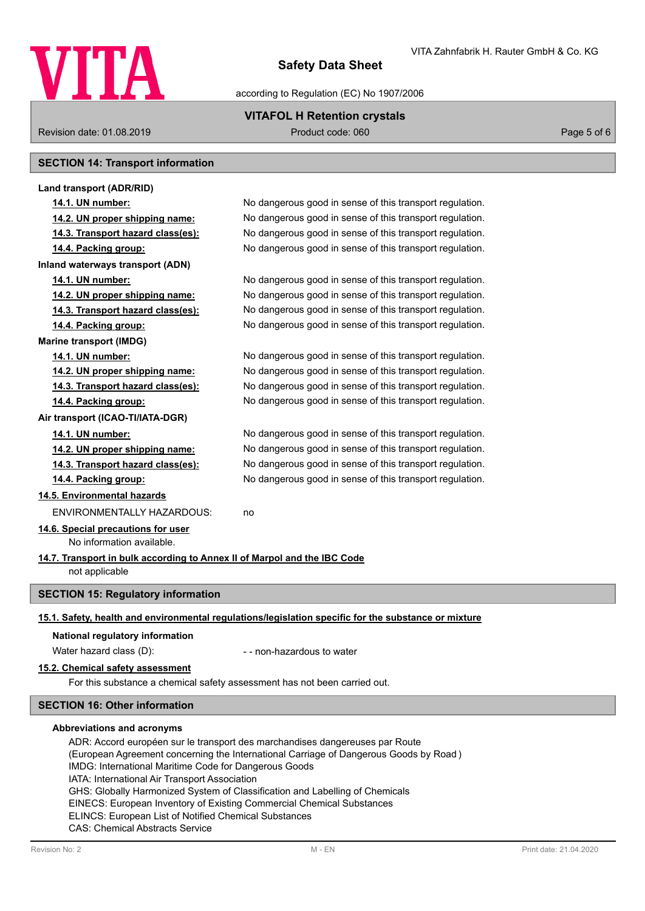

according to Regulation (EC) No 1907/2006

# **VITAFOL H Retention crystals**

Revision date: 01.08.2019 **Product code: 060** Product code: 060 **Page 5 of 6** Page 5 of 6

# **SECTION 14: Transport information**

| Land transport (ADR/RID)                                                                                                                                                                            |                                                                                                      |  |  |
|-----------------------------------------------------------------------------------------------------------------------------------------------------------------------------------------------------|------------------------------------------------------------------------------------------------------|--|--|
| 14.1. UN number:                                                                                                                                                                                    | No dangerous good in sense of this transport regulation.                                             |  |  |
| 14.2. UN proper shipping name:                                                                                                                                                                      | No dangerous good in sense of this transport regulation.                                             |  |  |
| 14.3. Transport hazard class(es):                                                                                                                                                                   | No dangerous good in sense of this transport regulation.                                             |  |  |
| 14.4. Packing group:                                                                                                                                                                                | No dangerous good in sense of this transport regulation.                                             |  |  |
| Inland waterways transport (ADN)                                                                                                                                                                    |                                                                                                      |  |  |
| 14.1. UN number:                                                                                                                                                                                    | No dangerous good in sense of this transport regulation.                                             |  |  |
| 14.2. UN proper shipping name:                                                                                                                                                                      | No dangerous good in sense of this transport regulation.                                             |  |  |
| 14.3. Transport hazard class(es):                                                                                                                                                                   | No dangerous good in sense of this transport regulation.                                             |  |  |
| 14.4. Packing group:                                                                                                                                                                                | No dangerous good in sense of this transport regulation.                                             |  |  |
| <b>Marine transport (IMDG)</b>                                                                                                                                                                      |                                                                                                      |  |  |
| 14.1. UN number:                                                                                                                                                                                    | No dangerous good in sense of this transport regulation.                                             |  |  |
| 14.2. UN proper shipping name:                                                                                                                                                                      | No dangerous good in sense of this transport regulation.                                             |  |  |
| 14.3. Transport hazard class(es):                                                                                                                                                                   | No dangerous good in sense of this transport regulation.                                             |  |  |
| 14.4. Packing group:                                                                                                                                                                                | No dangerous good in sense of this transport regulation.                                             |  |  |
| Air transport (ICAO-TI/IATA-DGR)                                                                                                                                                                    |                                                                                                      |  |  |
| 14.1. UN number:                                                                                                                                                                                    | No dangerous good in sense of this transport regulation.                                             |  |  |
| 14.2. UN proper shipping name:                                                                                                                                                                      | No dangerous good in sense of this transport regulation.                                             |  |  |
| 14.3. Transport hazard class(es):                                                                                                                                                                   | No dangerous good in sense of this transport regulation.                                             |  |  |
| 14.4. Packing group:                                                                                                                                                                                | No dangerous good in sense of this transport regulation.                                             |  |  |
| 14.5. Environmental hazards                                                                                                                                                                         |                                                                                                      |  |  |
| ENVIRONMENTALLY HAZARDOUS:                                                                                                                                                                          | no                                                                                                   |  |  |
| 14.6. Special precautions for user                                                                                                                                                                  |                                                                                                      |  |  |
| No information available.                                                                                                                                                                           |                                                                                                      |  |  |
| 14.7. Transport in bulk according to Annex II of Marpol and the IBC Code                                                                                                                            |                                                                                                      |  |  |
| not applicable                                                                                                                                                                                      |                                                                                                      |  |  |
| <b>SECTION 15: Regulatory information</b>                                                                                                                                                           |                                                                                                      |  |  |
|                                                                                                                                                                                                     | 15.1. Safety, health and environmental regulations/legislation specific for the substance or mixture |  |  |
| National regulatory information                                                                                                                                                                     |                                                                                                      |  |  |
| Water hazard class (D):                                                                                                                                                                             | - - non-hazardous to water                                                                           |  |  |
| 15.2. Chemical safety assessment                                                                                                                                                                    |                                                                                                      |  |  |
| For this substance a chemical safety assessment has not been carried out.                                                                                                                           |                                                                                                      |  |  |
|                                                                                                                                                                                                     |                                                                                                      |  |  |
| <b>SECTION 16: Other information</b>                                                                                                                                                                |                                                                                                      |  |  |
| Abbreviations and acronyms<br>ADR: Accord européen sur le transport des marchandises dangereuses par Route<br>(European Agreement concerning the International Carriage of Dangerous Goods by Road) |                                                                                                      |  |  |

IMDG: International Maritime Code for Dangerous Goods IATA: International Air Transport Association

GHS: Globally Harmonized System of Classification and Labelling of Chemicals

EINECS: European Inventory of Existing Commercial Chemical Substances

ELINCS: European List of Notified Chemical Substances

CAS: Chemical Abstracts Service